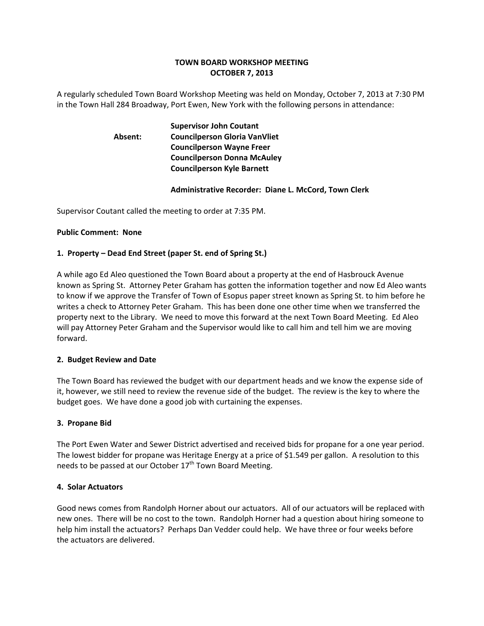### **TOWN BOARD WORKSHOP MEETING OCTOBER 7, 2013**

A regularly scheduled Town Board Workshop Meeting was held on Monday, October 7, 2013 at 7:30 PM in the Town Hall 284 Broadway, Port Ewen, New York with the following persons in attendance:

## **Supervisor John Coutant Absent: Councilperson Gloria VanVliet Councilperson Wayne Freer Councilperson Donna McAuley Councilperson Kyle Barnett**

### **Administrative Recorder: Diane L. McCord, Town Clerk**

Supervisor Coutant called the meeting to order at 7:35 PM.

#### **Public Comment: None**

### **1. Property – Dead End Street (paper St. end of Spring St.)**

A while ago Ed Aleo questioned the Town Board about a property at the end of Hasbrouck Avenue known as Spring St. Attorney Peter Graham has gotten the information together and now Ed Aleo wants to know if we approve the Transfer of Town of Esopus paper street known as Spring St. to him before he writes a check to Attorney Peter Graham. This has been done one other time when we transferred the property next to the Library. We need to move this forward at the next Town Board Meeting. Ed Aleo will pay Attorney Peter Graham and the Supervisor would like to call him and tell him we are moving forward.

#### **2. Budget Review and Date**

The Town Board has reviewed the budget with our department heads and we know the expense side of it, however, we still need to review the revenue side of the budget. The review is the key to where the budget goes. We have done a good job with curtaining the expenses.

#### **3. Propane Bid**

The Port Ewen Water and Sewer District advertised and received bids for propane for a one year period. The lowest bidder for propane was Heritage Energy at a price of \$1.549 per gallon. A resolution to this needs to be passed at our October  $17<sup>th</sup>$  Town Board Meeting.

#### **4. Solar Actuators**

Good news comes from Randolph Horner about our actuators. All of our actuators will be replaced with new ones. There will be no cost to the town. Randolph Horner had a question about hiring someone to help him install the actuators? Perhaps Dan Vedder could help. We have three or four weeks before the actuators are delivered.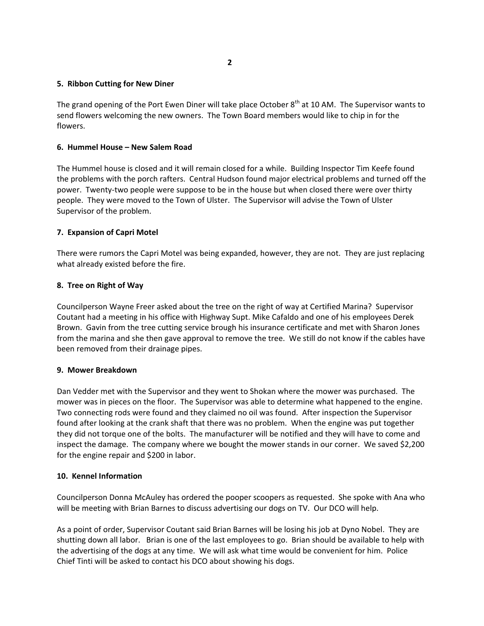# **5. Ribbon Cutting for New Diner**

The grand opening of the Port Ewen Diner will take place October 8<sup>th</sup> at 10 AM. The Supervisor wants to send flowers welcoming the new owners. The Town Board members would like to chip in for the flowers.

### **6. Hummel House – New Salem Road**

The Hummel house is closed and it will remain closed for a while. Building Inspector Tim Keefe found the problems with the porch rafters. Central Hudson found major electrical problems and turned off the power. Twenty-two people were suppose to be in the house but when closed there were over thirty people. They were moved to the Town of Ulster. The Supervisor will advise the Town of Ulster Supervisor of the problem.

### **7. Expansion of Capri Motel**

There were rumors the Capri Motel was being expanded, however, they are not. They are just replacing what already existed before the fire.

### **8. Tree on Right of Way**

Councilperson Wayne Freer asked about the tree on the right of way at Certified Marina? Supervisor Coutant had a meeting in his office with Highway Supt. Mike Cafaldo and one of his employees Derek Brown. Gavin from the tree cutting service brough his insurance certificate and met with Sharon Jones from the marina and she then gave approval to remove the tree. We still do not know if the cables have been removed from their drainage pipes.

### **9. Mower Breakdown**

Dan Vedder met with the Supervisor and they went to Shokan where the mower was purchased. The mower was in pieces on the floor. The Supervisor was able to determine what happened to the engine. Two connecting rods were found and they claimed no oil was found. After inspection the Supervisor found after looking at the crank shaft that there was no problem. When the engine was put together they did not torque one of the bolts. The manufacturer will be notified and they will have to come and inspect the damage. The company where we bought the mower stands in our corner. We saved \$2,200 for the engine repair and \$200 in labor.

### **10. Kennel Information**

Councilperson Donna McAuley has ordered the pooper scoopers as requested. She spoke with Ana who will be meeting with Brian Barnes to discuss advertising our dogs on TV. Our DCO will help.

As a point of order, Supervisor Coutant said Brian Barnes will be losing his job at Dyno Nobel. They are shutting down all labor. Brian is one of the last employees to go. Brian should be available to help with the advertising of the dogs at any time. We will ask what time would be convenient for him. Police Chief Tinti will be asked to contact his DCO about showing his dogs.